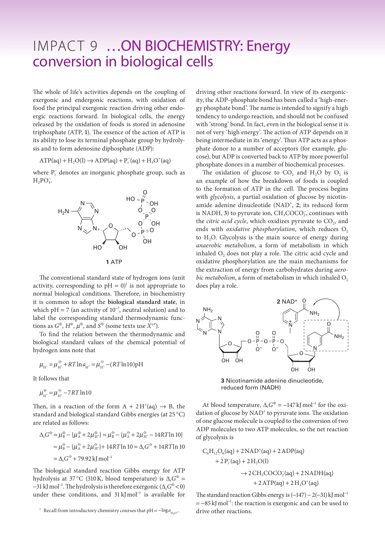## IMPACT 9 …ON BIOCHEMISTRY: Energy conversion in biological cells

The whole of life's activities depends on the coupling of exergonic and endergonic reactions, with oxidation of food the principal exergonic reaction driving other endoergic reactions forward. In biological cells, the energy released by the oxidation of foods is stored in adenosine triphosphate (ATP, **1**). The essence of the action of ATP is its ability to lose its terminal phosphate group by hydrolysis and to form adenosine diphosphate (ADP):

 $ATP(aq) + H_2O(l) \rightarrow ADP(aq) + P_i(aq) + H_3O^+(aq)$ 

where P<sub>i</sub> denotes an inorganic phosphate group, such as  $H_2PO_4^-$ 



The conventional standard state of hydrogen ions (unit activity, corresponding to  $pH = 0$ <sup>l</sup> is not appropriate to normal biological conditions. Therefore, in biochemistry it is common to adopt the **biological standard state**, in which  $pH = 7$  (an activity of 10<sup>-7</sup>, neutral solution) and to label the corresponding standard thermodynamic functions as  $G^{\oplus}$ ,  $H^{\oplus}$ ,  $\mu^{\oplus}$ , and  $S^{\oplus}$  (some texts use  $X^{\circ}$ ).

To find the relation between the thermodynamic and biological standard values of the chemical potential of hydrogen ions note that

$$
\mu_{H^*} = \mu_{H^*}^{\ominus} + RT \ln a_{H^*} = \mu_{H^*}^{\ominus} - (RT \ln 10) \text{pH}
$$

It follows that

$$
\mu_{\text{H}^+}^{\oplus} = \mu_{\text{H}^+}^{\ominus} - 7RT\ln 10
$$

Then, in a reaction of the form  $A + 2H^+(aq) \rightarrow B$ , the standard and biological standard Gibbs energies (at 25 °C) are related as follows:

$$
\Delta_{\rm r} G^{\circledast} = \mu_{\rm B}^{\circledast} - \{ \mu_{\rm A}^{\circledast} + 2\mu_{\rm H^+}^{\circledast} \} = \mu_{\rm B}^{\circledast} - \{ \mu_{\rm A}^{\circledast} + 2\mu_{\rm H^+}^{\circledast} - 14RT\ln 10 \}
$$

$$
= \mu_{\rm B}^{\circledast} - \{ \mu_{\rm A}^{\circledast} + 2\mu_{\rm H^+}^{\circledast} \} + 14RT\ln 10 = \Delta_{\rm r} G^{\circledast} + 14RT\ln 10
$$

$$
= \Delta_{\rm r} G^{\circledast} + 79.92 \,\text{kJ} \,\text{mol}^{-1}
$$

The biological standard reaction Gibbs energy for ATP hydrolysis at 37 °C (310 K, blood temperature) is  $\Delta_r G^{\oplus}$  = −31 kJmol<sup>−</sup><sup>1</sup> . The hydrolysis is therefore exergonic (∆r*G*<sup>⊕</sup> < 0) under these conditions, and 31 kJmol<sup>-1</sup> is available for

<sup>1</sup> Recall from introductory chemistry courses that  $pH = -\log a_{H_3O^+}$ . drive other reactions.

driving other reactions forward. In view of its exergonicity, the ADP*–*phosphate bond has been called a 'high-energy phosphate bond'. The name is intended to signify a high tendency to undergo reaction, and should not be confused with 'strong' bond. In fact, even in the biological sense it is not of very 'high energy'. The action of ATP depends on it being intermediate in its 'energy'. Thus ATP acts as a phosphate donor to a number of acceptors (for example, glucose), but ADP is converted back to ATP by more powerful phosphate donors in a number of biochemical processes.

The oxidation of glucose to  $CO_2$  and  $H_2O$  by  $O_2$  is an example of how the breakdown of foods is coupled to the formation of ATP in the cell. The process begins with *glycolysis*, a partial oxidation of glucose by nicotinamide adenine dinucleotide (NAD<sup>+</sup>, 2; its reduced form is NADH, 3) to pyruvate ion, CH<sub>3</sub>COCO<sub>2</sub>, continues with the *citric acid cycle*, which oxidizes pyruvate to CO<sub>2</sub>, and ends with *oxidative phosphorylation*, which reduces O<sub>2</sub> to  $H<sub>2</sub>O$ . Glycolysis is the main source of energy during *anaerobic metabolism*, a form of metabolism in which inhaled O<sub>2</sub> does not play a role. The citric acid cycle and oxidative phosphorylation are the main mechanisms for the extraction of energy from carbohydrates during *aerobic metabolism*, a form of metabolism in which inhaled  $O_2$ does play a role.



**3** Nicotinamide adenine dinucleotide, reduced form (NADH)

At blood temperature,  $\Delta_{\rm r} G^{\oplus} = -147 \,\rm kJ$  mol<sup>-1</sup> for the oxidation of glucose by NAD<sup>+</sup> to pyruvate ions. The oxidation of one glucose molecule is coupled to the conversion of two ADP molecules to two ATP molecules, so the net reaction of glycolysis is

$$
C_6H_{12}O_6(aq) + 2NAD^+(aq) + 2ADP(aq)
$$
  
+ 2P<sub>i</sub>(aq) + 2H<sub>2</sub>O(l)  

$$
\rightarrow 2CH_3COCO_2^-(aq) + 2NADH(aq)
$$
  
+ 2ATP(aq) + 2H<sub>3</sub>O<sup>+</sup>(aq)

The standard reaction Gibbs energy is  $(-147) - 2(-31)$  kJ mol<sup>-1</sup> = −85 kJ mol<sup>-1</sup>: the reaction is exergonic and can be used to